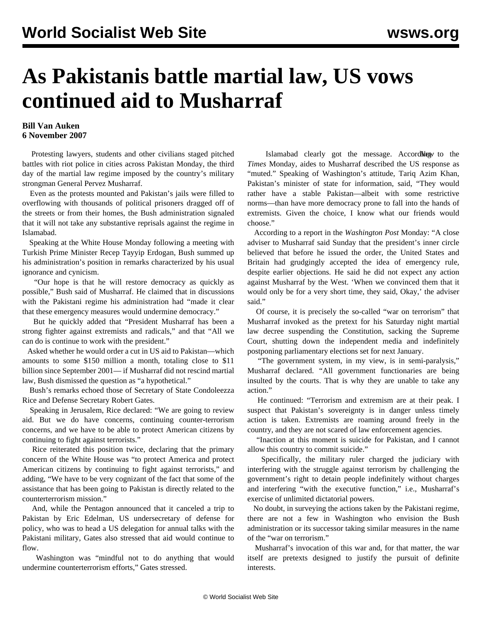## **As Pakistanis battle martial law, US vows continued aid to Musharraf**

## **Bill Van Auken 6 November 2007**

 Protesting lawyers, students and other civilians staged pitched battles with riot police in cities across Pakistan Monday, the third day of the martial law regime imposed by the country's military strongman General Pervez Musharraf.

 Even as the protests mounted and Pakistan's jails were filled to overflowing with thousands of political prisoners dragged off of the streets or from their homes, the Bush administration signaled that it will not take any substantive reprisals against the regime in Islamabad.

 Speaking at the White House Monday following a meeting with Turkish Prime Minister Recep Tayyip Erdogan, Bush summed up his administration's position in remarks characterized by his usual ignorance and cynicism.

 "Our hope is that he will restore democracy as quickly as possible," Bush said of Musharraf. He claimed that in discussions with the Pakistani regime his administration had "made it clear that these emergency measures would undermine democracy."

 But he quickly added that "President Musharraf has been a strong fighter against extremists and radicals," and that "All we can do is continue to work with the president."

 Asked whether he would order a cut in US aid to Pakistan—which amounts to some \$150 million a month, totaling close to \$11 billion since September 2001— if Musharraf did not rescind martial law, Bush dismissed the question as "a hypothetical."

 Bush's remarks echoed those of Secretary of State Condoleezza Rice and Defense Secretary Robert Gates.

 Speaking in Jerusalem, Rice declared: "We are going to review aid. But we do have concerns, continuing counter-terrorism concerns, and we have to be able to protect American citizens by continuing to fight against terrorists."

 Rice reiterated this position twice, declaring that the primary concern of the White House was "to protect America and protect American citizens by continuing to fight against terrorists," and adding, "We have to be very cognizant of the fact that some of the assistance that has been going to Pakistan is directly related to the counterterrorism mission."

 And, while the Pentagon announced that it canceled a trip to Pakistan by Eric Edelman, US undersecretary of defense for policy, who was to head a US delegation for annual talks with the Pakistani military, Gates also stressed that aid would continue to flow.

 Washington was "mindful not to do anything that would undermine counterterrorism efforts," Gates stressed.

Islamabad clearly got the message. Accord *New to* the *Times* Monday, aides to Musharraf described the US response as "muted." Speaking of Washington's attitude, Tariq Azim Khan, Pakistan's minister of state for information, said, "They would rather have a stable Pakistan—albeit with some restrictive norms—than have more democracy prone to fall into the hands of extremists. Given the choice, I know what our friends would choose."

 According to a report in the *Washington Post* Monday: "A close adviser to Musharraf said Sunday that the president's inner circle believed that before he issued the order, the United States and Britain had grudgingly accepted the idea of emergency rule, despite earlier objections. He said he did not expect any action against Musharraf by the West. 'When we convinced them that it would only be for a very short time, they said, Okay,' the adviser said."

 Of course, it is precisely the so-called "war on terrorism" that Musharraf invoked as the pretext for his Saturday night martial law decree suspending the Constitution, sacking the Supreme Court, shutting down the independent media and indefinitely postponing parliamentary elections set for next January.

 "The government system, in my view, is in semi-paralysis," Musharraf declared. "All government functionaries are being insulted by the courts. That is why they are unable to take any action."

 He continued: "Terrorism and extremism are at their peak. I suspect that Pakistan's sovereignty is in danger unless timely action is taken. Extremists are roaming around freely in the country, and they are not scared of law enforcement agencies.

 "Inaction at this moment is suicide for Pakistan, and I cannot allow this country to commit suicide."

 Specifically, the military ruler charged the judiciary with interfering with the struggle against terrorism by challenging the government's right to detain people indefinitely without charges and interfering "with the executive function," i.e., Musharraf's exercise of unlimited dictatorial powers.

 No doubt, in surveying the actions taken by the Pakistani regime, there are not a few in Washington who envision the Bush administration or its successor taking similar measures in the name of the "war on terrorism."

 Musharraf's invocation of this war and, for that matter, the war itself are pretexts designed to justify the pursuit of definite interests.